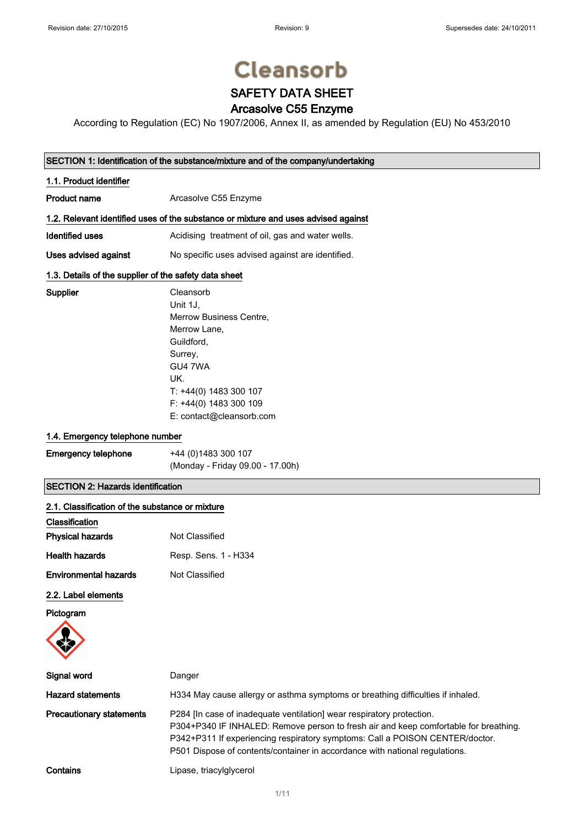Supplier

# **Cleansorb**

## SAFETY DATA SHEET

### Arcasolve C55 Enzyme

According to Regulation (EC) No 1907/2006, Annex II, as amended by Regulation (EU) No 453/2010

### SECTION 1: Identification of the substance/mixture and of the company/undertaking

| 1.1. Product identifier |                                                                                    |
|-------------------------|------------------------------------------------------------------------------------|
| <b>Product name</b>     | Arcasolve C55 Enzyme                                                               |
|                         | 1.2. Relevant identified uses of the substance or mixture and uses advised against |
| Identified uses         | Acidising treatment of oil, gas and water wells.                                   |
| Uses advised against    | No specific uses advised against are identified.                                   |

### 1.3. Details of the supplier of the safety data sheet

| Cleansorb                |
|--------------------------|
| Unit 1J.                 |
| Merrow Business Centre,  |
| Merrow Lane,             |
| Guildford,               |
| Surrey,                  |
| GU4 7WA                  |
| UK.                      |
| T: +44(0) 1483 300 107   |
| F: +44(0) 1483 300 109   |
| E: contact@cleansorb.com |

### 1.4. Emergency telephone number

| <b>Emergency telephone</b> | +44 (0) 1483 300 107             |
|----------------------------|----------------------------------|
|                            | (Monday - Friday 09.00 - 17.00h) |

### SECTION 2: Hazards identification

| 2.1. Classification of the substance or mixture |                                                                                                                                                                                                                                                                                                                              |
|-------------------------------------------------|------------------------------------------------------------------------------------------------------------------------------------------------------------------------------------------------------------------------------------------------------------------------------------------------------------------------------|
| Classification                                  |                                                                                                                                                                                                                                                                                                                              |
| <b>Physical hazards</b>                         | Not Classified                                                                                                                                                                                                                                                                                                               |
| <b>Health hazards</b>                           | Resp. Sens. 1 - H334                                                                                                                                                                                                                                                                                                         |
| <b>Environmental hazards</b>                    | Not Classified                                                                                                                                                                                                                                                                                                               |
| 2.2. Label elements                             |                                                                                                                                                                                                                                                                                                                              |
| Pictogram                                       |                                                                                                                                                                                                                                                                                                                              |
| Signal word                                     | Danger                                                                                                                                                                                                                                                                                                                       |
| <b>Hazard statements</b>                        | H334 May cause allergy or asthma symptoms or breathing difficulties if inhaled.                                                                                                                                                                                                                                              |
| <b>Precautionary statements</b>                 | P284 [In case of inadequate ventilation] wear respiratory protection.<br>P304+P340 IF INHALED: Remove person to fresh air and keep comfortable for breathing.<br>P342+P311 If experiencing respiratory symptoms: Call a POISON CENTER/doctor.<br>P501 Dispose of contents/container in accordance with national regulations. |
| Contains                                        | Lipase, triacylglycerol                                                                                                                                                                                                                                                                                                      |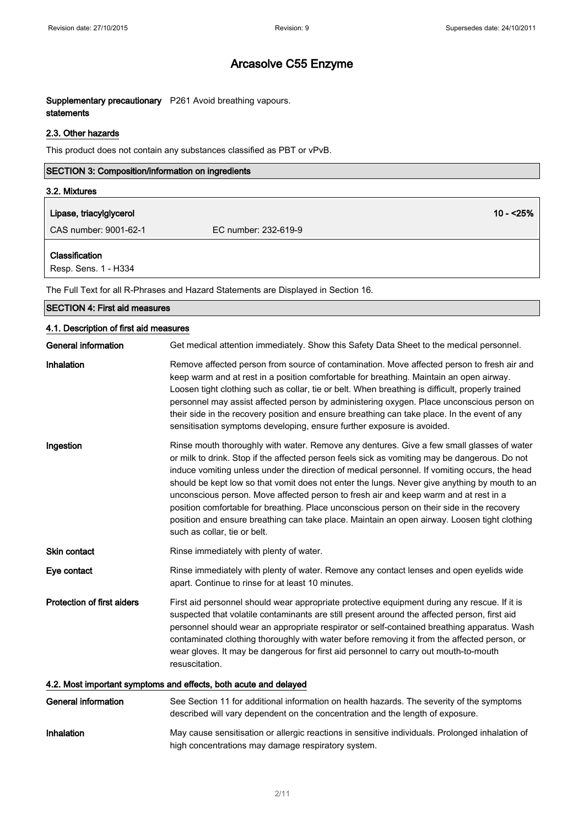### Supplementary precautionary P261 Avoid breathing vapours. statements

### 2.3. Other hazards

This product does not contain any substances classified as PBT or vPvB.

| <b>SECTION 3: Composition/information on ingredients</b> |                      |
|----------------------------------------------------------|----------------------|
| 3.2. Mixtures                                            |                      |
| Lipase, triacylglycerol                                  | $10 - 25%$           |
| CAS number: 9001-62-1                                    | EC number: 232-619-9 |
| <b>Classification</b><br>Resp. Sens. 1 - H334            |                      |

The Full Text for all R-Phrases and Hazard Statements are Displayed in Section 16.

| <b>SECTION 4: First aid measures</b>                             |                                                                                                                                                                                                                                                                                                                                                                                                                                                                                                                                                                                                                                                                                                                    |
|------------------------------------------------------------------|--------------------------------------------------------------------------------------------------------------------------------------------------------------------------------------------------------------------------------------------------------------------------------------------------------------------------------------------------------------------------------------------------------------------------------------------------------------------------------------------------------------------------------------------------------------------------------------------------------------------------------------------------------------------------------------------------------------------|
| 4.1. Description of first aid measures                           |                                                                                                                                                                                                                                                                                                                                                                                                                                                                                                                                                                                                                                                                                                                    |
| <b>General information</b>                                       | Get medical attention immediately. Show this Safety Data Sheet to the medical personnel.                                                                                                                                                                                                                                                                                                                                                                                                                                                                                                                                                                                                                           |
| Inhalation                                                       | Remove affected person from source of contamination. Move affected person to fresh air and<br>keep warm and at rest in a position comfortable for breathing. Maintain an open airway.<br>Loosen tight clothing such as collar, tie or belt. When breathing is difficult, properly trained<br>personnel may assist affected person by administering oxygen. Place unconscious person on<br>their side in the recovery position and ensure breathing can take place. In the event of any<br>sensitisation symptoms developing, ensure further exposure is avoided.                                                                                                                                                   |
| Ingestion                                                        | Rinse mouth thoroughly with water. Remove any dentures. Give a few small glasses of water<br>or milk to drink. Stop if the affected person feels sick as vomiting may be dangerous. Do not<br>induce vomiting unless under the direction of medical personnel. If vomiting occurs, the head<br>should be kept low so that vomit does not enter the lungs. Never give anything by mouth to an<br>unconscious person. Move affected person to fresh air and keep warm and at rest in a<br>position comfortable for breathing. Place unconscious person on their side in the recovery<br>position and ensure breathing can take place. Maintain an open airway. Loosen tight clothing<br>such as collar, tie or belt. |
| <b>Skin contact</b>                                              | Rinse immediately with plenty of water.                                                                                                                                                                                                                                                                                                                                                                                                                                                                                                                                                                                                                                                                            |
| Eye contact                                                      | Rinse immediately with plenty of water. Remove any contact lenses and open eyelids wide<br>apart. Continue to rinse for at least 10 minutes.                                                                                                                                                                                                                                                                                                                                                                                                                                                                                                                                                                       |
| <b>Protection of first aiders</b>                                | First aid personnel should wear appropriate protective equipment during any rescue. If it is<br>suspected that volatile contaminants are still present around the affected person, first aid<br>personnel should wear an appropriate respirator or self-contained breathing apparatus. Wash<br>contaminated clothing thoroughly with water before removing it from the affected person, or<br>wear gloves. It may be dangerous for first aid personnel to carry out mouth-to-mouth<br>resuscitation.                                                                                                                                                                                                               |
| 4.2. Most important symptoms and effects, both acute and delayed |                                                                                                                                                                                                                                                                                                                                                                                                                                                                                                                                                                                                                                                                                                                    |
| <b>General information</b>                                       | See Section 11 for additional information on health hazards. The severity of the symptoms<br>described will vary dependent on the concentration and the length of exposure.                                                                                                                                                                                                                                                                                                                                                                                                                                                                                                                                        |

Inhalation May cause sensitisation or allergic reactions in sensitive individuals. Prolonged inhalation of high concentrations may damage respiratory system.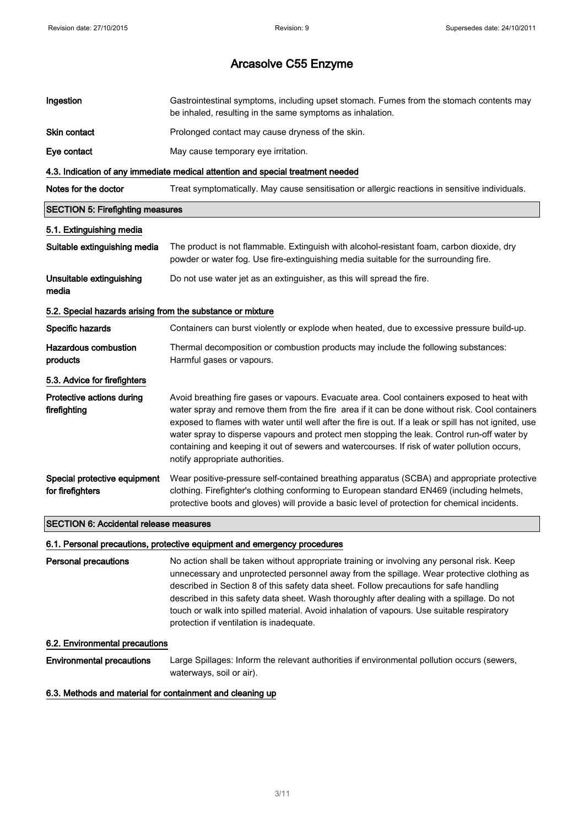| Ingestion                                                  | Gastrointestinal symptoms, including upset stomach. Fumes from the stomach contents may<br>be inhaled, resulting in the same symptoms as inhalation.                                                                                                                                                                                                                                                                                                                                                                                     |
|------------------------------------------------------------|------------------------------------------------------------------------------------------------------------------------------------------------------------------------------------------------------------------------------------------------------------------------------------------------------------------------------------------------------------------------------------------------------------------------------------------------------------------------------------------------------------------------------------------|
| Skin contact                                               | Prolonged contact may cause dryness of the skin.                                                                                                                                                                                                                                                                                                                                                                                                                                                                                         |
| Eye contact                                                | May cause temporary eye irritation.                                                                                                                                                                                                                                                                                                                                                                                                                                                                                                      |
|                                                            | 4.3. Indication of any immediate medical attention and special treatment needed                                                                                                                                                                                                                                                                                                                                                                                                                                                          |
| Notes for the doctor                                       | Treat symptomatically. May cause sensitisation or allergic reactions in sensitive individuals.                                                                                                                                                                                                                                                                                                                                                                                                                                           |
| <b>SECTION 5: Firefighting measures</b>                    |                                                                                                                                                                                                                                                                                                                                                                                                                                                                                                                                          |
| 5.1. Extinguishing media                                   |                                                                                                                                                                                                                                                                                                                                                                                                                                                                                                                                          |
| Suitable extinguishing media                               | The product is not flammable. Extinguish with alcohol-resistant foam, carbon dioxide, dry<br>powder or water fog. Use fire-extinguishing media suitable for the surrounding fire.                                                                                                                                                                                                                                                                                                                                                        |
| Unsuitable extinguishing<br>media                          | Do not use water jet as an extinguisher, as this will spread the fire.                                                                                                                                                                                                                                                                                                                                                                                                                                                                   |
| 5.2. Special hazards arising from the substance or mixture |                                                                                                                                                                                                                                                                                                                                                                                                                                                                                                                                          |
| Specific hazards                                           | Containers can burst violently or explode when heated, due to excessive pressure build-up.                                                                                                                                                                                                                                                                                                                                                                                                                                               |
| <b>Hazardous combustion</b><br>products                    | Thermal decomposition or combustion products may include the following substances:<br>Harmful gases or vapours.                                                                                                                                                                                                                                                                                                                                                                                                                          |
| 5.3. Advice for firefighters                               |                                                                                                                                                                                                                                                                                                                                                                                                                                                                                                                                          |
| Protective actions during<br>firefighting                  | Avoid breathing fire gases or vapours. Evacuate area. Cool containers exposed to heat with<br>water spray and remove them from the fire area if it can be done without risk. Cool containers<br>exposed to flames with water until well after the fire is out. If a leak or spill has not ignited, use<br>water spray to disperse vapours and protect men stopping the leak. Control run-off water by<br>containing and keeping it out of sewers and watercourses. If risk of water pollution occurs,<br>notify appropriate authorities. |
| Special protective equipment<br>for firefighters           | Wear positive-pressure self-contained breathing apparatus (SCBA) and appropriate protective<br>clothing. Firefighter's clothing conforming to European standard EN469 (including helmets,<br>protective boots and gloves) will provide a basic level of protection for chemical incidents.                                                                                                                                                                                                                                               |
| <b>SECTION 6: Accidental release measures</b>              |                                                                                                                                                                                                                                                                                                                                                                                                                                                                                                                                          |

### 6.1. Personal precautions, protective equipment and emergency procedures

Personal precautions No action shall be taken without appropriate training or involving any personal risk. Keep unnecessary and unprotected personnel away from the spillage. Wear protective clothing as described in Section 8 of this safety data sheet. Follow precautions for safe handling described in this safety data sheet. Wash thoroughly after dealing with a spillage. Do not touch or walk into spilled material. Avoid inhalation of vapours. Use suitable respiratory protection if ventilation is inadequate.

### 6.2. Environmental precautions

Environmental precautions Large Spillages: Inform the relevant authorities if environmental pollution occurs (sewers, waterways, soil or air).

#### 6.3. Methods and material for containment and cleaning up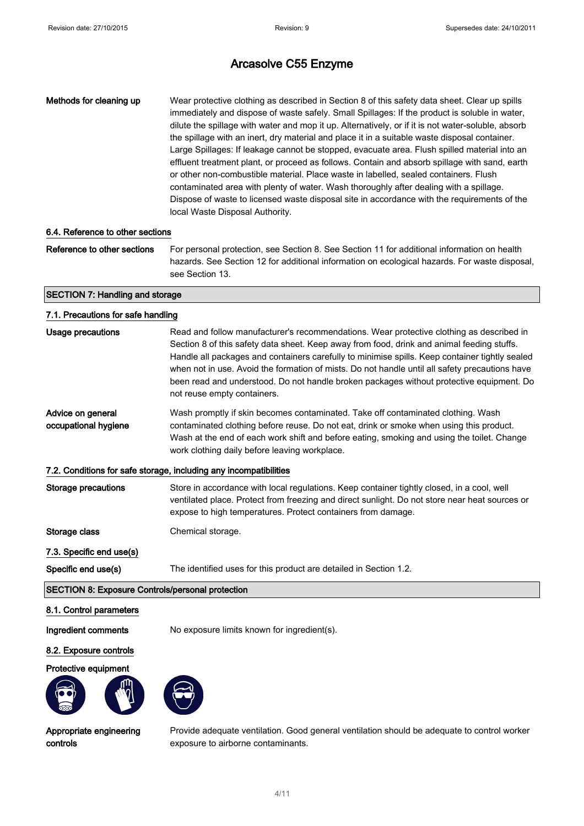| Methods for cleaning up | Wear protective clothing as described in Section 8 of this safety data sheet. Clear up spills<br>immediately and dispose of waste safely. Small Spillages: If the product is soluble in water,<br>dilute the spillage with water and mop it up. Alternatively, or if it is not water-soluble, absorb<br>the spillage with an inert, dry material and place it in a suitable waste disposal container.<br>Large Spillages: If leakage cannot be stopped, evacuate area. Flush spilled material into an<br>effluent treatment plant, or proceed as follows. Contain and absorb spillage with sand, earth<br>or other non-combustible material. Place waste in labelled, sealed containers. Flush |
|-------------------------|------------------------------------------------------------------------------------------------------------------------------------------------------------------------------------------------------------------------------------------------------------------------------------------------------------------------------------------------------------------------------------------------------------------------------------------------------------------------------------------------------------------------------------------------------------------------------------------------------------------------------------------------------------------------------------------------|
|                         | contaminated area with plenty of water. Wash thoroughly after dealing with a spillage.                                                                                                                                                                                                                                                                                                                                                                                                                                                                                                                                                                                                         |
|                         | Dispose of waste to licensed waste disposal site in accordance with the requirements of the                                                                                                                                                                                                                                                                                                                                                                                                                                                                                                                                                                                                    |
|                         | local Waste Disposal Authority.                                                                                                                                                                                                                                                                                                                                                                                                                                                                                                                                                                                                                                                                |

### 6.4. Reference to other sections

Reference to other sections For personal protection, see Section 8. See Section 11 for additional information on health hazards. See Section 12 for additional information on ecological hazards. For waste disposal, see Section 13.

### SECTION 7: Handling and storage

### 7.1. Precautions for safe handling

| Usage precautions                                                 | Read and follow manufacturer's recommendations. Wear protective clothing as described in<br>Section 8 of this safety data sheet. Keep away from food, drink and animal feeding stuffs.<br>Handle all packages and containers carefully to minimise spills. Keep container tightly sealed<br>when not in use. Avoid the formation of mists. Do not handle until all safety precautions have<br>been read and understood. Do not handle broken packages without protective equipment. Do<br>not reuse empty containers. |  |
|-------------------------------------------------------------------|-----------------------------------------------------------------------------------------------------------------------------------------------------------------------------------------------------------------------------------------------------------------------------------------------------------------------------------------------------------------------------------------------------------------------------------------------------------------------------------------------------------------------|--|
| Advice on general<br>occupational hygiene                         | Wash promptly if skin becomes contaminated. Take off contaminated clothing. Wash<br>contaminated clothing before reuse. Do not eat, drink or smoke when using this product.<br>Wash at the end of each work shift and before eating, smoking and using the toilet. Change<br>work clothing daily before leaving workplace.                                                                                                                                                                                            |  |
| 7.2. Conditions for safe storage, including any incompatibilities |                                                                                                                                                                                                                                                                                                                                                                                                                                                                                                                       |  |
| <b>Storage precautions</b>                                        | Store in accordance with local regulations. Keep container tightly closed, in a cool, well<br>ventilated place. Protect from freezing and direct sunlight. Do not store near heat sources or<br>expose to high temperatures. Protect containers from damage.                                                                                                                                                                                                                                                          |  |
| Storage class                                                     | Chemical storage.                                                                                                                                                                                                                                                                                                                                                                                                                                                                                                     |  |
| 7.3. Specific end use(s)                                          |                                                                                                                                                                                                                                                                                                                                                                                                                                                                                                                       |  |
| Specific end use(s)                                               | The identified uses for this product are detailed in Section 1.2.                                                                                                                                                                                                                                                                                                                                                                                                                                                     |  |
| <b>SECTION 8: Exposure Controls/personal protection</b>           |                                                                                                                                                                                                                                                                                                                                                                                                                                                                                                                       |  |

### 8.1. Control parameters

Ingredient comments No exposure limits known for ingredient(s).

### 8.2. Exposure controls

#### Protective equipment





Appropriate engineering controls

Provide adequate ventilation. Good general ventilation should be adequate to control worker exposure to airborne contaminants.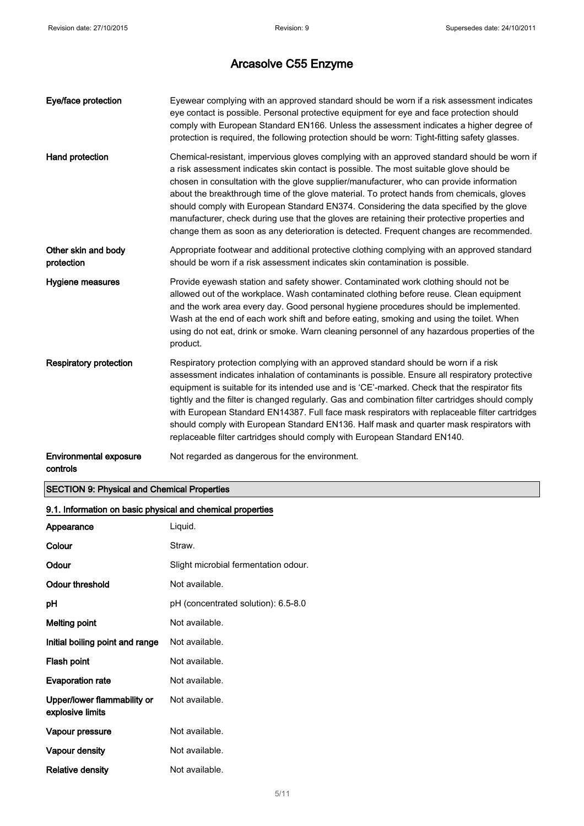| Eye/face protection                       | Eyewear complying with an approved standard should be worn if a risk assessment indicates<br>eye contact is possible. Personal protective equipment for eye and face protection should<br>comply with European Standard EN166. Unless the assessment indicates a higher degree of<br>protection is required, the following protection should be worn: Tight-fitting safety glasses.                                                                                                                                                                                                                                                                                    |
|-------------------------------------------|------------------------------------------------------------------------------------------------------------------------------------------------------------------------------------------------------------------------------------------------------------------------------------------------------------------------------------------------------------------------------------------------------------------------------------------------------------------------------------------------------------------------------------------------------------------------------------------------------------------------------------------------------------------------|
| Hand protection                           | Chemical-resistant, impervious gloves complying with an approved standard should be worn if<br>a risk assessment indicates skin contact is possible. The most suitable glove should be<br>chosen in consultation with the glove supplier/manufacturer, who can provide information<br>about the breakthrough time of the glove material. To protect hands from chemicals, gloves<br>should comply with European Standard EN374. Considering the data specified by the glove<br>manufacturer, check during use that the gloves are retaining their protective properties and<br>change them as soon as any deterioration is detected. Frequent changes are recommended. |
| Other skin and body<br>protection         | Appropriate footwear and additional protective clothing complying with an approved standard<br>should be worn if a risk assessment indicates skin contamination is possible.                                                                                                                                                                                                                                                                                                                                                                                                                                                                                           |
| Hygiene measures                          | Provide eyewash station and safety shower. Contaminated work clothing should not be<br>allowed out of the workplace. Wash contaminated clothing before reuse. Clean equipment<br>and the work area every day. Good personal hygiene procedures should be implemented.<br>Wash at the end of each work shift and before eating, smoking and using the toilet. When<br>using do not eat, drink or smoke. Warn cleaning personnel of any hazardous properties of the<br>product.                                                                                                                                                                                          |
| <b>Respiratory protection</b>             | Respiratory protection complying with an approved standard should be worn if a risk<br>assessment indicates inhalation of contaminants is possible. Ensure all respiratory protective<br>equipment is suitable for its intended use and is 'CE'-marked. Check that the respirator fits<br>tightly and the filter is changed regularly. Gas and combination filter cartridges should comply<br>with European Standard EN14387. Full face mask respirators with replaceable filter cartridges<br>should comply with European Standard EN136. Half mask and quarter mask respirators with<br>replaceable filter cartridges should comply with European Standard EN140.    |
| <b>Environmental exposure</b><br>controls | Not regarded as dangerous for the environment.                                                                                                                                                                                                                                                                                                                                                                                                                                                                                                                                                                                                                         |

### SECTION 9: Physical and Chemical Properties

| 9.1. Information on basic physical and chemical properties |                                      |
|------------------------------------------------------------|--------------------------------------|
| Appearance                                                 | Liquid.                              |
| Colour                                                     | Straw.                               |
| Odour                                                      | Slight microbial fermentation odour. |
| Odour threshold                                            | Not available.                       |
| рH                                                         | pH (concentrated solution): 6.5-8.0  |
| Melting point                                              | Not available.                       |
| Initial boiling point and range                            | Not available.                       |
| Flash point                                                | Not available.                       |
| <b>Evaporation rate</b>                                    | Not available.                       |
| Upper/lower flammability or<br>explosive limits            | Not available.                       |
| Vapour pressure                                            | Not available.                       |
| Vapour density                                             | Not available.                       |
| <b>Relative density</b>                                    | Not available.                       |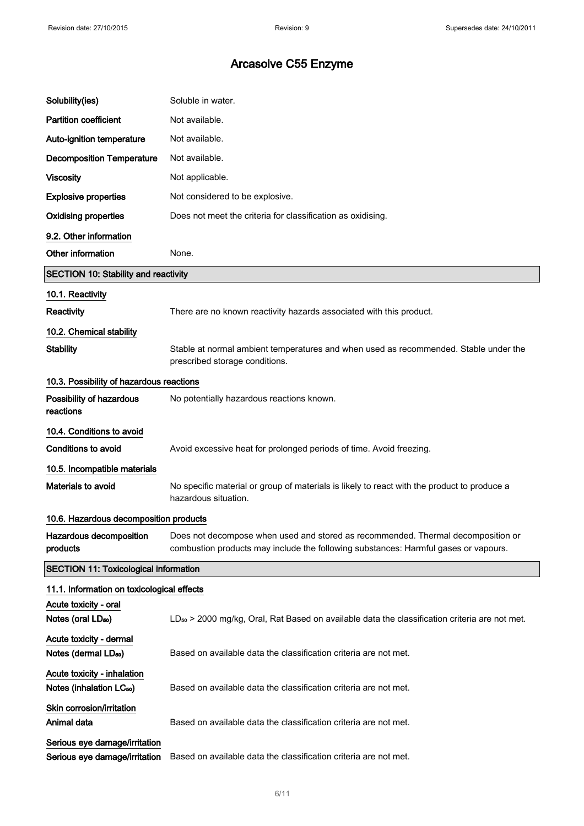| Solubility(ies)                                                     | Soluble in water.                                                                                                                                                       |
|---------------------------------------------------------------------|-------------------------------------------------------------------------------------------------------------------------------------------------------------------------|
| <b>Partition coefficient</b>                                        | Not available.                                                                                                                                                          |
| Auto-ignition temperature                                           | Not available.                                                                                                                                                          |
| <b>Decomposition Temperature</b>                                    | Not available.                                                                                                                                                          |
| <b>Viscosity</b>                                                    | Not applicable.                                                                                                                                                         |
| <b>Explosive properties</b>                                         | Not considered to be explosive.                                                                                                                                         |
| <b>Oxidising properties</b>                                         | Does not meet the criteria for classification as oxidising.                                                                                                             |
| 9.2. Other information                                              |                                                                                                                                                                         |
| Other information                                                   | None.                                                                                                                                                                   |
| <b>SECTION 10: Stability and reactivity</b>                         |                                                                                                                                                                         |
| 10.1. Reactivity                                                    |                                                                                                                                                                         |
| <b>Reactivity</b>                                                   | There are no known reactivity hazards associated with this product.                                                                                                     |
| 10.2. Chemical stability                                            |                                                                                                                                                                         |
| <b>Stability</b>                                                    | Stable at normal ambient temperatures and when used as recommended. Stable under the<br>prescribed storage conditions.                                                  |
| 10.3. Possibility of hazardous reactions                            |                                                                                                                                                                         |
| Possibility of hazardous<br>reactions                               | No potentially hazardous reactions known.                                                                                                                               |
| 10.4. Conditions to avoid                                           |                                                                                                                                                                         |
| <b>Conditions to avoid</b>                                          | Avoid excessive heat for prolonged periods of time. Avoid freezing.                                                                                                     |
| 10.5. Incompatible materials                                        |                                                                                                                                                                         |
| Materials to avoid                                                  | No specific material or group of materials is likely to react with the product to produce a<br>hazardous situation.                                                     |
| 10.6. Hazardous decomposition products                              |                                                                                                                                                                         |
| Hazardous decomposition<br>products                                 | Does not decompose when used and stored as recommended. Thermal decomposition or<br>combustion products may include the following substances: Harmful gases or vapours. |
| <b>SECTION 11: Toxicological information</b>                        |                                                                                                                                                                         |
| 11.1. Information on toxicological effects                          |                                                                                                                                                                         |
| Acute toxicity - oral<br>Notes (oral $LD_{50}$ )                    | LD <sub>so</sub> > 2000 mg/kg, Oral, Rat Based on available data the classification criteria are not met.                                                               |
| Acute toxicity - dermal<br>Notes (dermal LD <sub>50</sub> )         | Based on available data the classification criteria are not met.                                                                                                        |
| Acute toxicity - inhalation<br>Notes (inhalation LC <sub>50</sub> ) | Based on available data the classification criteria are not met.                                                                                                        |
| Skin corrosion/irritation<br>Animal data                            | Based on available data the classification criteria are not met.                                                                                                        |
| Serious eye damage/irritation<br>Serious eye damage/irritation      | Based on available data the classification criteria are not met.                                                                                                        |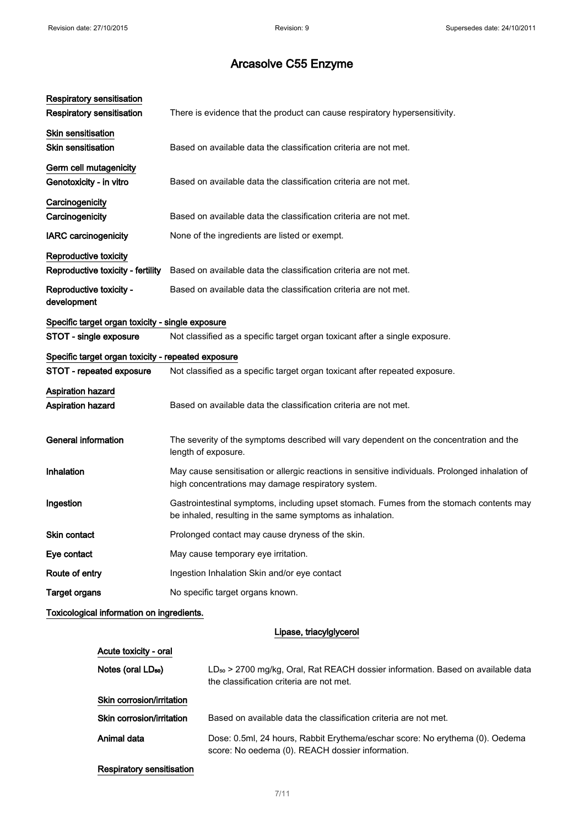| Respiratory sensitisation                                  |                                                                                                                                                       |
|------------------------------------------------------------|-------------------------------------------------------------------------------------------------------------------------------------------------------|
| <b>Respiratory sensitisation</b>                           | There is evidence that the product can cause respiratory hypersensitivity.                                                                            |
| <b>Skin sensitisation</b><br><b>Skin sensitisation</b>     | Based on available data the classification criteria are not met.                                                                                      |
| Germ cell mutagenicity<br>Genotoxicity - in vitro          | Based on available data the classification criteria are not met.                                                                                      |
| Carcinogenicity<br>Carcinogenicity                         | Based on available data the classification criteria are not met.                                                                                      |
| <b>IARC</b> carcinogenicity                                | None of the ingredients are listed or exempt.                                                                                                         |
| Reproductive toxicity<br>Reproductive toxicity - fertility | Based on available data the classification criteria are not met.                                                                                      |
| Reproductive toxicity -<br>development                     | Based on available data the classification criteria are not met.                                                                                      |
| Specific target organ toxicity - single exposure           |                                                                                                                                                       |
| STOT - single exposure                                     | Not classified as a specific target organ toxicant after a single exposure.                                                                           |
| Specific target organ toxicity - repeated exposure         |                                                                                                                                                       |
| STOT - repeated exposure                                   | Not classified as a specific target organ toxicant after repeated exposure.                                                                           |
| <b>Aspiration hazard</b><br>Aspiration hazard              | Based on available data the classification criteria are not met.                                                                                      |
| <b>General information</b>                                 | The severity of the symptoms described will vary dependent on the concentration and the<br>length of exposure.                                        |
| Inhalation                                                 | May cause sensitisation or allergic reactions in sensitive individuals. Prolonged inhalation of<br>high concentrations may damage respiratory system. |
| Ingestion                                                  | Gastrointestinal symptoms, including upset stomach. Fumes from the stomach contents may<br>be inhaled, resulting in the same symptoms as inhalation.  |
| <b>Skin contact</b>                                        | Prolonged contact may cause dryness of the skin.                                                                                                      |
| Eye contact                                                | May cause temporary eye irritation.                                                                                                                   |
| Route of entry                                             | Ingestion Inhalation Skin and/or eye contact                                                                                                          |
| <b>Target organs</b>                                       | No specific target organs known.                                                                                                                      |
| Toxicological information on ingredients.                  |                                                                                                                                                       |

Lipase, triacylglycerol

| Acute toxicity - oral            |                                                                                                                                         |
|----------------------------------|-----------------------------------------------------------------------------------------------------------------------------------------|
| Notes (oral LD <sub>50</sub> )   | LD <sub>so</sub> > 2700 mg/kg, Oral, Rat REACH dossier information. Based on available data<br>the classification criteria are not met. |
| Skin corrosion/irritation        |                                                                                                                                         |
| Skin corrosion/irritation        | Based on available data the classification criteria are not met.                                                                        |
| Animal data                      | Dose: 0.5ml, 24 hours, Rabbit Erythema/eschar score: No erythema (0). Oedema<br>score: No oedema (0). REACH dossier information.        |
| <b>Respiratory sensitisation</b> |                                                                                                                                         |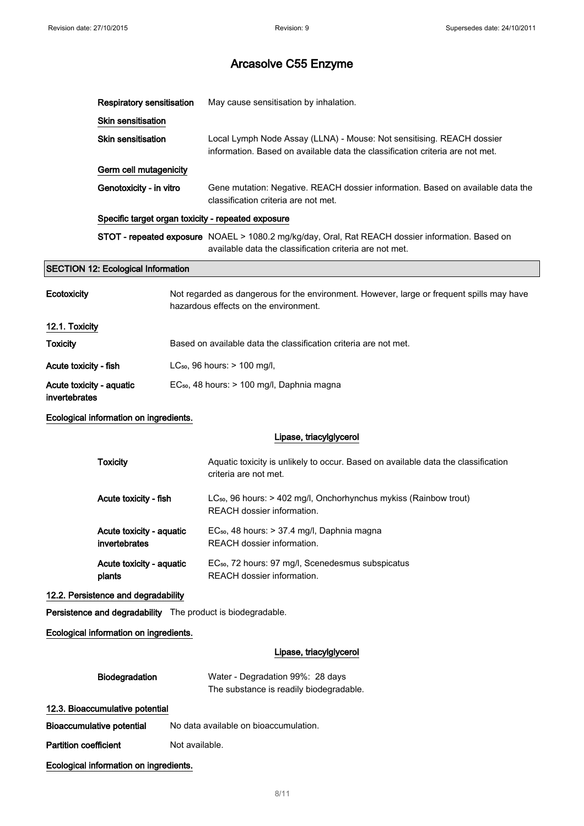|                                           | <b>Respiratory sensitisation</b>                   |                | May cause sensitisation by inhalation.                                                                                                                      |
|-------------------------------------------|----------------------------------------------------|----------------|-------------------------------------------------------------------------------------------------------------------------------------------------------------|
|                                           | Skin sensitisation                                 |                |                                                                                                                                                             |
|                                           | <b>Skin sensitisation</b>                          |                | Local Lymph Node Assay (LLNA) - Mouse: Not sensitising. REACH dossier<br>information. Based on available data the classification criteria are not met.      |
|                                           | Germ cell mutagenicity                             |                |                                                                                                                                                             |
|                                           | Genotoxicity - in vitro                            |                | Gene mutation: Negative. REACH dossier information. Based on available data the<br>classification criteria are not met.                                     |
|                                           | Specific target organ toxicity - repeated exposure |                |                                                                                                                                                             |
|                                           |                                                    |                | STOT - repeated exposure NOAEL > 1080.2 mg/kg/day, Oral, Rat REACH dossier information. Based on<br>available data the classification criteria are not met. |
|                                           | <b>SECTION 12: Ecological Information</b>          |                |                                                                                                                                                             |
| <b>Ecotoxicity</b>                        |                                                    |                | Not regarded as dangerous for the environment. However, large or frequent spills may have<br>hazardous effects on the environment.                          |
| 12.1. Toxicity                            |                                                    |                |                                                                                                                                                             |
| <b>Toxicity</b>                           |                                                    |                | Based on available data the classification criteria are not met.                                                                                            |
| Acute toxicity - fish                     |                                                    |                | LC <sub>50</sub> , 96 hours: > 100 mg/l,                                                                                                                    |
| Acute toxicity - aquatic<br>invertebrates |                                                    |                | EC <sub>50</sub> , 48 hours: > 100 mg/l, Daphnia magna                                                                                                      |
|                                           | Ecological information on ingredients.             |                |                                                                                                                                                             |
|                                           |                                                    |                | Lipase, triacylglycerol                                                                                                                                     |
|                                           | <b>Toxicity</b>                                    |                | Aquatic toxicity is unlikely to occur. Based on available data the classification<br>criteria are not met.                                                  |
|                                           | Acute toxicity - fish                              |                | LC <sub>50</sub> , 96 hours: > 402 mg/l, Onchorhynchus mykiss (Rainbow trout)<br>REACH dossier information.                                                 |
|                                           | Acute toxicity - aquatic<br>invertebrates          |                | EC <sub>50</sub> , 48 hours: > 37.4 mg/l, Daphnia magna<br>REACH dossier information.                                                                       |
|                                           | Acute toxicity - aquatic<br>plants                 |                | EC <sub>50</sub> , 72 hours: 97 mg/l, Scenedesmus subspicatus<br>REACH dossier information.                                                                 |
|                                           | 12.2. Persistence and degradability                |                |                                                                                                                                                             |
|                                           |                                                    |                | Persistence and degradability The product is biodegradable.                                                                                                 |
|                                           | Ecological information on ingredients.             |                |                                                                                                                                                             |
|                                           |                                                    |                | Lipase, triacylglycerol                                                                                                                                     |
|                                           | Biodegradation                                     |                | Water - Degradation 99%: 28 days<br>The substance is readily biodegradable.                                                                                 |
|                                           | 12.3. Bioaccumulative potential                    |                |                                                                                                                                                             |
|                                           | <b>Bioaccumulative potential</b>                   |                | No data available on bioaccumulation.                                                                                                                       |
| <b>Partition coefficient</b>              |                                                    | Not available. |                                                                                                                                                             |
|                                           | Ecological information on ingredients.             |                |                                                                                                                                                             |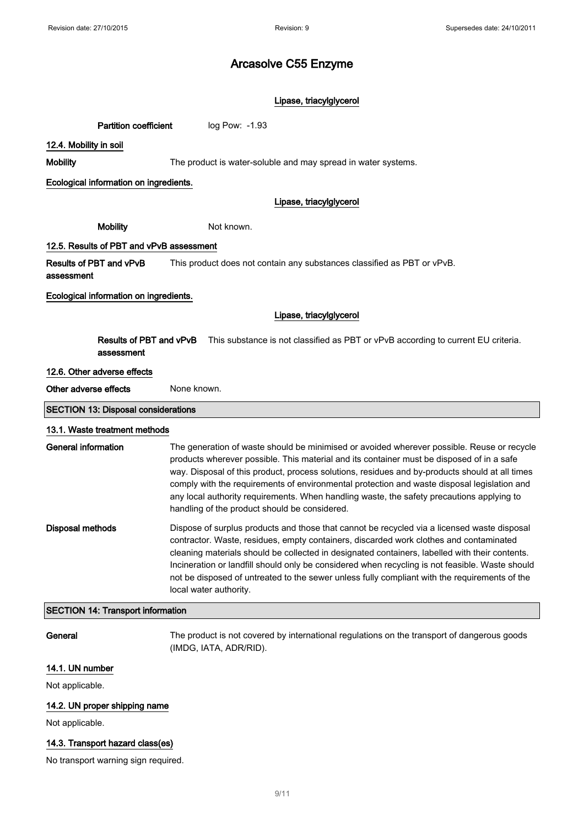### Lipase, triacylglycerol

12.4. Mobility in soil

Mobility The product is water-soluble and may spread in water systems.

Ecological information on ingredients.

### Lipase, triacylglycerol

Mobility Not known.

Partition coefficient log Pow: -1.93

### 12.5. Results of PBT and vPvB assessment

Results of PBT and vPvB This product does not contain any substances classified as PBT or vPvB.

assessment

Ecological information on ingredients.

### Lipase, triacylglycerol

Results of PBT and vPvB This substance is not classified as PBT or vPvB according to current EU criteria. assessment

### 12.6. Other adverse effects

Other adverse effects None known.

SECTION 13: Disposal considerations

### 13.1. Waste treatment methods

| General information | The generation of waste should be minimised or avoided wherever possible. Reuse or recycle<br>products wherever possible. This material and its container must be disposed of in a safe<br>way. Disposal of this product, process solutions, residues and by-products should at all times<br>comply with the requirements of environmental protection and waste disposal legislation and<br>any local authority requirements. When handling waste, the safety precautions applying to<br>handling of the product should be considered. |
|---------------------|----------------------------------------------------------------------------------------------------------------------------------------------------------------------------------------------------------------------------------------------------------------------------------------------------------------------------------------------------------------------------------------------------------------------------------------------------------------------------------------------------------------------------------------|
| Disposal methods    | Dispose of surplus products and those that cannot be recycled via a licensed waste disposal<br>contractor. Waste, residues, empty containers, discarded work clothes and contaminated<br>cleaning materials should be collected in designated containers, labelled with their contents.<br>Incineration or landfill should only be considered when recycling is not feasible. Waste should<br>not be disposed of untreated to the sewer unless fully compliant with the requirements of the<br>local water authority.                  |

#### SECTION 14: Transport information

General The product is not covered by international regulations on the transport of dangerous goods (IMDG, IATA, ADR/RID).

### 14.1. UN number

Not applicable.

### 14.2. UN proper shipping name

Not applicable.

### 14.3. Transport hazard class(es)

No transport warning sign required.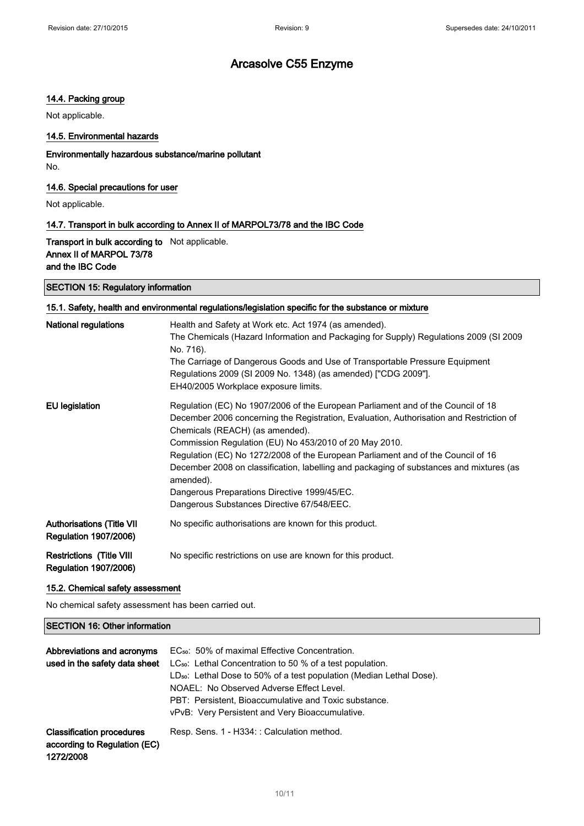### 14.4. Packing group

Not applicable.

### 14.5. Environmental hazards

Environmentally hazardous substance/marine pollutant No.

### 14.6. Special precautions for user

Not applicable.

### 14.7. Transport in bulk according to Annex II of MARPOL73/78 and the IBC Code

Transport in bulk according to Not applicable. Annex II of MARPOL 73/78 and the IBC Code

### SECTION 15: Regulatory information

### 15.1. Safety, health and environmental regulations/legislation specific for the substance or mixture

| <b>National regulations</b>                                      | Health and Safety at Work etc. Act 1974 (as amended).<br>The Chemicals (Hazard Information and Packaging for Supply) Regulations 2009 (SI 2009<br>No. 716).<br>The Carriage of Dangerous Goods and Use of Transportable Pressure Equipment<br>Regulations 2009 (SI 2009 No. 1348) (as amended) ["CDG 2009"].<br>EH40/2005 Workplace exposure limits.                                                                                                                                                                                                               |
|------------------------------------------------------------------|--------------------------------------------------------------------------------------------------------------------------------------------------------------------------------------------------------------------------------------------------------------------------------------------------------------------------------------------------------------------------------------------------------------------------------------------------------------------------------------------------------------------------------------------------------------------|
| <b>EU</b> legislation                                            | Regulation (EC) No 1907/2006 of the European Parliament and of the Council of 18<br>December 2006 concerning the Registration, Evaluation, Authorisation and Restriction of<br>Chemicals (REACH) (as amended).<br>Commission Regulation (EU) No 453/2010 of 20 May 2010.<br>Regulation (EC) No 1272/2008 of the European Parliament and of the Council of 16<br>December 2008 on classification, labelling and packaging of substances and mixtures (as<br>amended).<br>Dangerous Preparations Directive 1999/45/EC.<br>Dangerous Substances Directive 67/548/EEC. |
| <b>Authorisations (Title VII</b><br><b>Regulation 1907/2006)</b> | No specific authorisations are known for this product.                                                                                                                                                                                                                                                                                                                                                                                                                                                                                                             |
| <b>Restrictions (Title VIII</b><br><b>Regulation 1907/2006)</b>  | No specific restrictions on use are known for this product.                                                                                                                                                                                                                                                                                                                                                                                                                                                                                                        |

### 15.2. Chemical safety assessment

No chemical safety assessment has been carried out.

### SECTION 16: Other information

| Abbreviations and acronyms<br>used in the safety data sheet                   | EC <sub>50</sub> : 50% of maximal Effective Concentration.<br>LC <sub>50</sub> : Lethal Concentration to 50 % of a test population.<br>LD <sub>50</sub> : Lethal Dose to 50% of a test population (Median Lethal Dose).<br>NOAEL: No Observed Adverse Effect Level.<br>PBT: Persistent, Bioaccumulative and Toxic substance.<br>vPvB: Very Persistent and Very Bioaccumulative. |
|-------------------------------------------------------------------------------|---------------------------------------------------------------------------------------------------------------------------------------------------------------------------------------------------------------------------------------------------------------------------------------------------------------------------------------------------------------------------------|
| <b>Classification procedures</b><br>according to Regulation (EC)<br>1272/2008 | Resp. Sens. 1 - H334: : Calculation method.                                                                                                                                                                                                                                                                                                                                     |